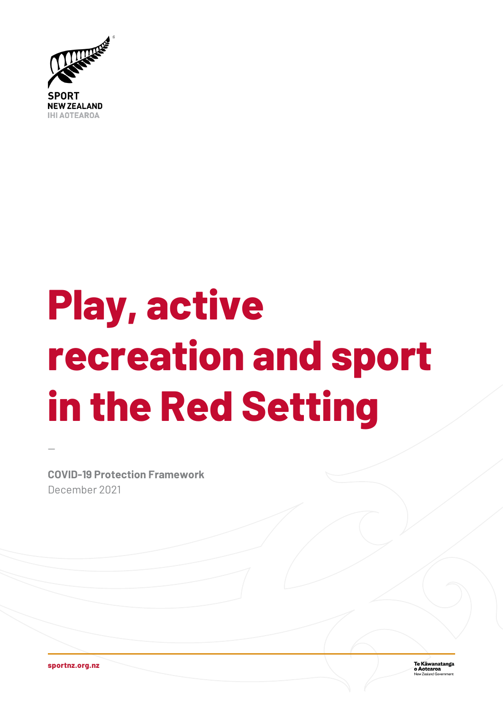

# **Play, active recreation and sport in the Red Setting**

**COVID-19 Protection Framework** December 2021

**sportnz.org.nz**

—

**Te Kāwanatanga**<br>**o Aotearoa**<br>New Zealand Government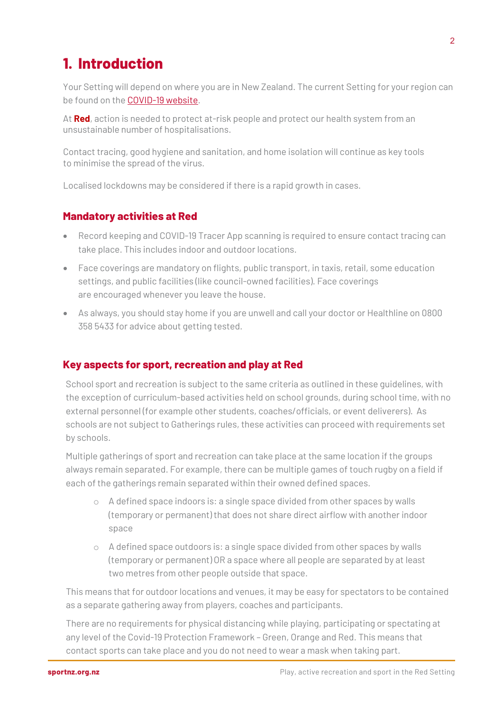## **1. Introduction**

Your Setting will depend on where you are in New Zealand. The current Setting for your region can be found on the [COVID-19 website.](https://covid19.govt.nz/traffic-lights/traffic-light-map/)

At **Red**, action is needed to protect at-risk people and protect our health system from an unsustainable number of hospitalisations.

Contact tracing, good hygiene and sanitation, and home isolation will continue as key tools to minimise the spread of the virus.

Localised lockdowns may be considered if there is a rapid growth in cases.

#### **Mandatory activities at Red**

- Record keeping and COVID-19 Tracer App scanning is required to ensure contact tracing can take place. This includes indoor and outdoor locations.
- Face coverings are mandatory on flights, public transport, in taxis, retail, some education settings, and public facilities (like council-owned facilities). Face coverings are encouraged whenever you leave the house.
- As always, you should stay home if you are unwell and call your doctor or Healthline on 0800 358 5433 for advice about getting tested.

#### **Key aspects for sport, recreation and play at Red**

School sport and recreation is subject to the same criteria as outlined in these guidelines, with the exception of curriculum-based activities held on school grounds, during school time, with no external personnel (for example other students, coaches/officials, or event deliverers). As schools are not subject to Gatherings rules, these activities can proceed with requirements set by schools.

Multiple gatherings of sport and recreation can take place at the same location if the groups always remain separated. For example, there can be multiple games of touch rugby on a field if each of the gatherings remain separated within their owned defined spaces.

- $\circ$  A defined space indoors is: a single space divided from other spaces by walls (temporary or permanent) that does not share direct airflow with another indoor space
- o A defined space outdoors is: a single space divided from other spaces by walls (temporary or permanent) OR a space where all people are separated by at least two metres from other people outside that space.

This means that for outdoor locations and venues, it may be easy for spectators to be contained as a separate gathering away from players, coaches and participants.

There are no requirements for physical distancing while playing, participating or spectating at any level of the Covid-19 Protection Framework – Green, Orange and Red. This means that contact sports can take place and you do not need to wear a mask when taking part.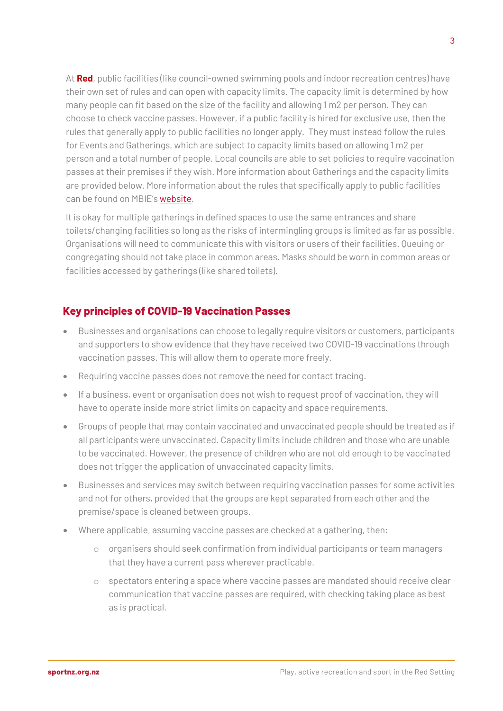At **Red**, public facilities (like council-owned swimming pools and indoor recreation centres) have their own set of rules and can open with capacity limits. The capacity limit is determined by how many people can fit based on the size of the facility and allowing 1 m2 per person. They can choose to check vaccine passes. However, if a public facility is hired for exclusive use, then the rules that generally apply to public facilities no longer apply. They must instead follow the rules for Events and Gatherings, which are subject to capacity limits based on allowing 1 m2 per person and a total number of people. Local councils are able to set policies to require vaccination passes at their premises if they wish. More information about Gatherings and the capacity limits are provided below. More information about the rules that specifically apply to public facilities can be found on MBIE's [website.](https://www.business.govt.nz/covid-19/covid-19-protection-framework/public-facilities/)

It is okay for multiple gatherings in defined spaces to use the same entrances and share toilets/changing facilities so long as the risks of intermingling groups is limited as far as possible. Organisations will need to communicate this with visitors or users of their facilities. Queuing or congregating should not take place in common areas. Masks should be worn in common areas or facilities accessed by gatherings (like shared toilets).

### **Key principles of COVID-19 Vaccination Passes**

- Businesses and organisations can choose to legally require visitors or customers, participants and supporters to show evidence that they have received two COVID-19 vaccinations through vaccination passes. This will allow them to operate more freely.
- Requiring vaccine passes does not remove the need for contact tracing.
- If a business, event or organisation does not wish to request proof of vaccination, they will have to operate inside more strict limits on capacity and space requirements.
- Groups of people that may contain vaccinated and unvaccinated people should be treated as if all participants were unvaccinated. Capacity limits include children and those who are unable to be vaccinated. However, the presence of children who are not old enough to be vaccinated does not trigger the application of unvaccinated capacity limits.
- Businesses and services may switch between requiring vaccination passes for some activities and not for others, provided that the groups are kept separated from each other and the premise/space is cleaned between groups.
- Where applicable, assuming vaccine passes are checked at a gathering, then:
	- o organisers should seek confirmation from individual participants or team managers that they have a current pass wherever practicable.
	- o spectators entering a space where vaccine passes are mandated should receive clear communication that vaccine passes are required, with checking taking place as best as is practical.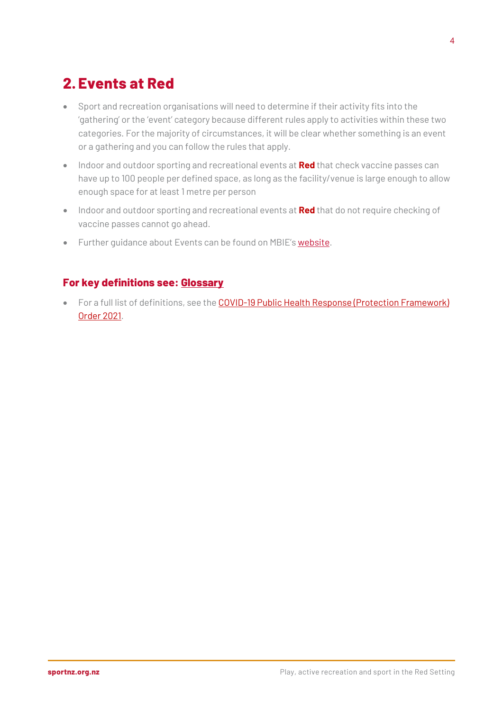## **2. Events at Red**

- Sport and recreation organisations will need to determine if their activity fits into the 'gathering' or the 'event' category because different rules apply to activities within these two categories. For the majority of circumstances, it will be clear whether something is an event or a gathering and you can follow the rules that apply.
- Indoor and outdoor sporting and recreational events at **Red** that check vaccine passes can have up to 100 people per defined space, as long as the facility/venue is large enough to allow enough space for at least 1 metre per person
- Indoor and outdoor sporting and recreational events at **Red** that do not require checking of vaccine passes cannot go ahead.
- Further guidance about Events can be found on MBIE's **website**.

#### **For key definitions see: [Glossary](#page-14-0)**

• For a full list of definitions, see the [COVID-19 Public Health Response \(Protection Framework\)](https://www.legislation.govt.nz/regulation/public/2021/0386/latest/whole.html)  [Order 2021.](https://www.legislation.govt.nz/regulation/public/2021/0386/latest/whole.html)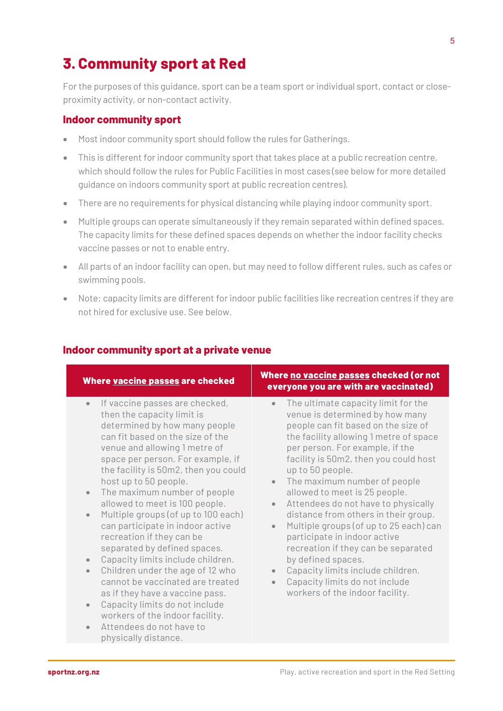## **3. Community sport at Red**

For the purposes of this guidance, sport can be a team sport or individual sport, contact or closeproximity activity, or non-contact activity.

#### **Indoor community sport**

- Most indoor community sport should follow the rules for Gatherings.
- This is different for indoor community sport that takes place at a public recreation centre, which should follow the rules for Public Facilities in most cases (see below for more detailed guidance on indoors community sport at public recreation centres).
- There are no requirements for physical distancing while playing indoor community sport.
- Multiple groups can operate simultaneously if they remain separated within defined spaces. The capacity limits for these defined spaces depends on whether the indoor facility checks vaccine passes or not to enable entry.
- All parts of an indoor facility can open, but may need to follow different rules, such as cafes or swimming pools.
- Note: capacity limits are different for indoor public facilities like recreation centres if they are not hired for exclusive use. See below.

| Where <b>vaccine passes</b> are checked                                                                                                                                                                                                                                                                                                                                                                                                                                                                                                                                                                                                                                                                                                                                                                                                                | Where <u>no vaccine passes</u> checked (or not<br>everyone you are with are vaccinated)                                                                                                                                                                                                                                                                                                                                                                                                                                                                                                                                                                                                                                                |
|--------------------------------------------------------------------------------------------------------------------------------------------------------------------------------------------------------------------------------------------------------------------------------------------------------------------------------------------------------------------------------------------------------------------------------------------------------------------------------------------------------------------------------------------------------------------------------------------------------------------------------------------------------------------------------------------------------------------------------------------------------------------------------------------------------------------------------------------------------|----------------------------------------------------------------------------------------------------------------------------------------------------------------------------------------------------------------------------------------------------------------------------------------------------------------------------------------------------------------------------------------------------------------------------------------------------------------------------------------------------------------------------------------------------------------------------------------------------------------------------------------------------------------------------------------------------------------------------------------|
| If vaccine passes are checked,<br>$\bullet$<br>then the capacity limit is<br>determined by how many people<br>can fit based on the size of the<br>venue and allowing 1 metre of<br>space per person. For example, if<br>the facility is 50m2, then you could<br>host up to 50 people.<br>The maximum number of people<br>$\bullet$<br>allowed to meet is 100 people.<br>Multiple groups (of up to 100 each)<br>$\bullet$<br>can participate in indoor active<br>recreation if they can be<br>separated by defined spaces.<br>Capacity limits include children.<br>$\bullet$<br>Children under the age of 12 who<br>$\bullet$<br>cannot be vaccinated are treated<br>as if they have a vaccine pass.<br>Capacity limits do not include<br>$\bullet$<br>workers of the indoor facility.<br>Attendees do not have to<br>$\bullet$<br>physically distance. | The ultimate capacity limit for the<br>$\bullet$<br>venue is determined by how many<br>people can fit based on the size of<br>the facility allowing 1 metre of space<br>per person. For example, if the<br>facility is 50m2, then you could host<br>up to 50 people.<br>The maximum number of people<br>$\bullet$<br>allowed to meet is 25 people.<br>Attendees do not have to physically<br>$\bullet$<br>distance from others in their group.<br>Multiple groups (of up to 25 each) can<br>$\bullet$<br>participate in indoor active<br>recreation if they can be separated<br>by defined spaces.<br>Capacity limits include children.<br>$\bullet$<br>Capacity limits do not include<br>$\bullet$<br>workers of the indoor facility. |

#### **Indoor community sport at a private venue**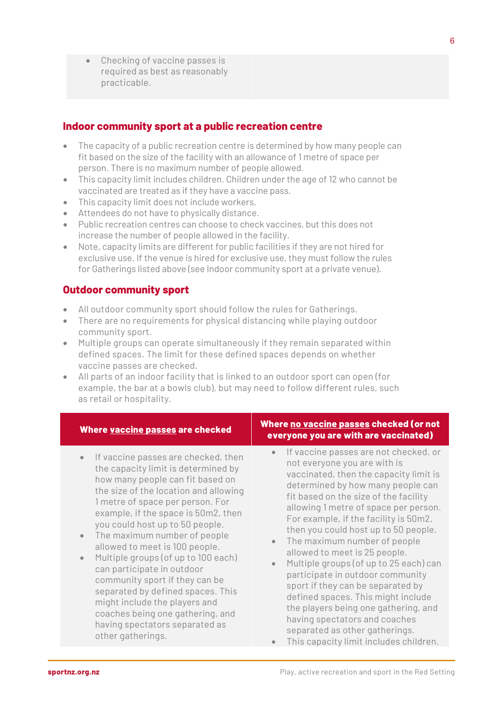• Checking of vaccine passes is required as best as reasonably practicable.

#### **Indoor community sport at a public recreation centre**

- The capacity of a public recreation centre is determined by how many people can fit based on the size of the facility with an allowance of 1 metre of space per person. There is no maximum number of people allowed.
- This capacity limit includes children. Children under the age of 12 who cannot be vaccinated are treated as if they have a vaccine pass.
- This capacity limit does not include workers.
- Attendees do not have to physically distance.
- Public recreation centres can choose to check vaccines, but this does not increase the number of people allowed in the facility.
- Note, capacity limits are different for public facilities if they are not hired for exclusive use. If the venue is hired for exclusive use, they must follow the rules for Gatherings listed above (see Indoor community sport at a private venue).

#### **Outdoor community sport**

- All outdoor community sport should follow the rules for Gatherings.
- There are no requirements for physical distancing while playing outdoor community sport.
- Multiple groups can operate simultaneously if they remain separated within defined spaces. The limit for these defined spaces depends on whether vaccine passes are checked.
- All parts of an indoor facility that is linked to an outdoor sport can open (for example, the bar at a bowls club), but may need to follow different rules, such as retail or hospitality.

- If vaccine passes are checked, then the capacity limit is determined by how many people can fit based on the size of the location and allowing 1 metre of space per person. For example, if the space is 50m2, then you could host up to 50 people.
- The maximum number of people allowed to meet is 100 people.
- Multiple groups (of up to 100 each) can participate in outdoor community sport if they can be separated by defined spaces. This might include the players and coaches being one gathering, and having spectators separated as other gatherings.

#### **Where vaccine passes are checked Where no vaccine passes checked (or not everyone you are with are vaccinated)**

- If vaccine passes are not checked, or not everyone you are with is vaccinated, then the capacity limit is determined by how many people can fit based on the size of the facility allowing 1 metre of space per person. For example, if the facility is 50m2, then you could host up to 50 people.
- The maximum number of people allowed to meet is 25 people.
- Multiple groups (of up to 25 each) can participate in outdoor community sport if they can be separated by defined spaces. This might include the players being one gathering, and having spectators and coaches separated as other gatherings.
- This capacity limit includes children.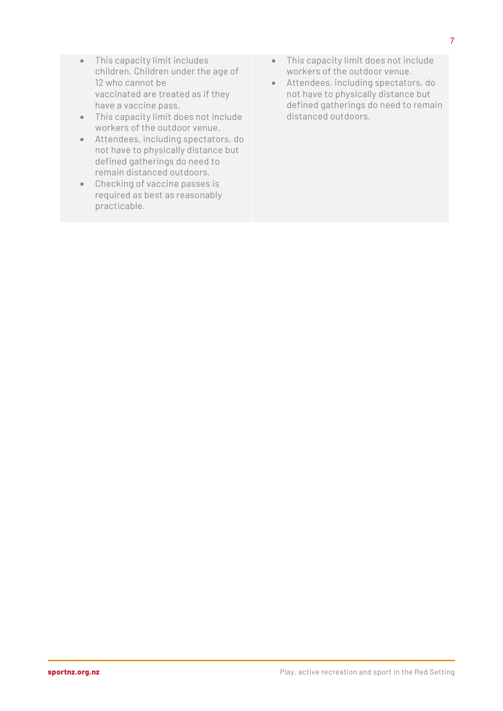- This capacity limit includes children. Children under the age of 12 who cannot be vaccinated are treated as if they have a vaccine pass.
- This capacity limit does not include workers of the outdoor venue.
- Attendees, including spectators, do not have to physically distance but defined gatherings do need to remain distanced outdoors.
- Checking of vaccine passes is required as best as reasonably practicable.
- This capacity limit does not include workers of the outdoor venue.
- Attendees, including spectators, do not have to physically distance but defined gatherings do need to remain distanced outdoors.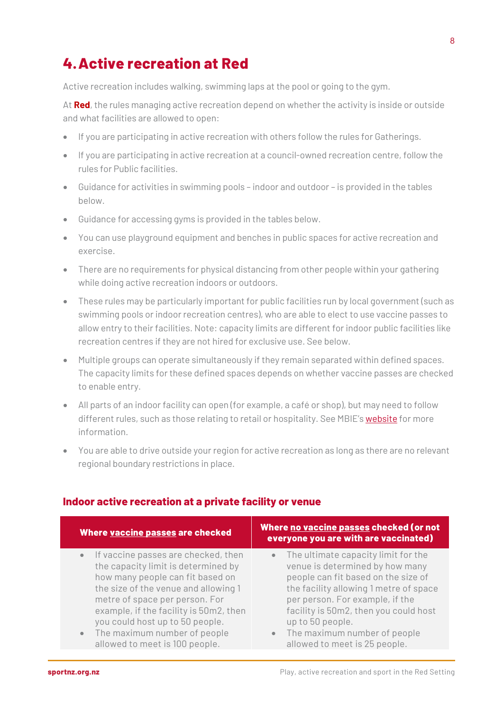## **4.Active recreation at Red**

Active recreation includes walking, swimming laps at the pool or going to the gym.

At **Red**, the rules managing active recreation depend on whether the activity is inside or outside and what facilities are allowed to open:

- If you are participating in active recreation with others follow the rules for Gatherings.
- If you are participating in active recreation at a council-owned recreation centre, follow the rules for Public facilities.
- Guidance for activities in swimming pools indoor and outdoor is provided in the tables below.
- Guidance for accessing gyms is provided in the tables below.
- You can use playground equipment and benches in public spaces for active recreation and exercise.
- There are no requirements for physical distancing from other people within your gathering while doing active recreation indoors or outdoors.
- These rules may be particularly important for public facilities run by local government (such as swimming pools or indoor recreation centres), who are able to elect to use vaccine passes to allow entry to their facilities. Note: capacity limits are different for indoor public facilities like recreation centres if they are not hired for exclusive use. See below.
- Multiple groups can operate simultaneously if they remain separated within defined spaces. The capacity limits for these defined spaces depends on whether vaccine passes are checked to enable entry.
- All parts of an indoor facility can open (for example, a café or shop), but may need to follow different rules, such as those relating to retail or hospitality. See MBIE'[s website](https://www.business.govt.nz/covid-19/covid-19-protection-framework/public-facilities/) for more information.
- You are able to drive outside your region for active recreation as long as there are no relevant regional boundary restrictions in place.

| Where vaccine passes are checked                                                                                                                                                                                                                                                                                                            | Where no vaccine passes checked (or not<br>everyone you are with are vaccinated)                                                                                                                                                                                                                                                          |
|---------------------------------------------------------------------------------------------------------------------------------------------------------------------------------------------------------------------------------------------------------------------------------------------------------------------------------------------|-------------------------------------------------------------------------------------------------------------------------------------------------------------------------------------------------------------------------------------------------------------------------------------------------------------------------------------------|
| • If vaccine passes are checked, then<br>the capacity limit is determined by<br>how many people can fit based on<br>the size of the venue and allowing 1<br>metre of space per person. For<br>example, if the facility is 50m2, then<br>you could host up to 50 people.<br>• The maximum number of people<br>allowed to meet is 100 people. | The ultimate capacity limit for the<br>$\bullet$ .<br>venue is determined by how many<br>people can fit based on the size of<br>the facility allowing 1 metre of space<br>per person. For example, if the<br>facility is 50m2, then you could host<br>up to 50 people.<br>• The maximum number of people<br>allowed to meet is 25 people. |

#### **Indoor active recreation at a private facility or venue**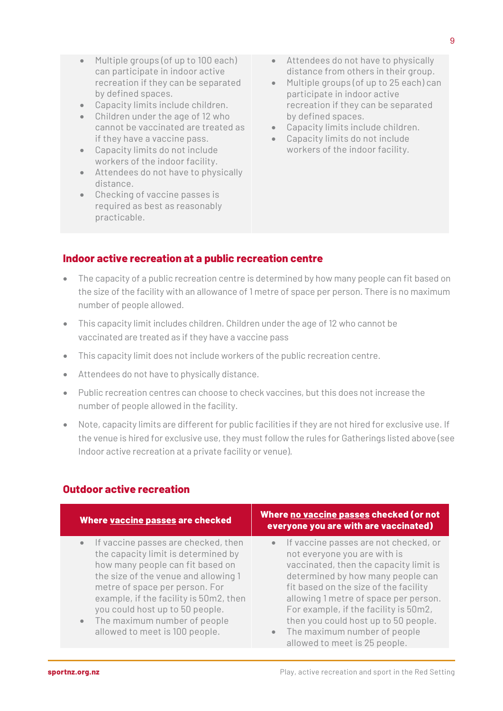- Multiple groups (of up to 100 each) can participate in indoor active recreation if they can be separated by defined spaces.
- Capacity limits include children.
- Children under the age of 12 who cannot be vaccinated are treated as if they have a vaccine pass.
- Capacity limits do not include workers of the indoor facility.
- Attendees do not have to physically distance.
- Checking of vaccine passes is required as best as reasonably practicable.
- Attendees do not have to physically distance from others in their group.
- Multiple groups (of up to 25 each) can participate in indoor active recreation if they can be separated by defined spaces.
- Capacity limits include children.
- Capacity limits do not include workers of the indoor facility.

#### **Indoor active recreation at a public recreation centre**

- The capacity of a public recreation centre is determined by how many people can fit based on the size of the facility with an allowance of 1 metre of space per person. There is no maximum number of people allowed.
- This capacity limit includes children. Children under the age of 12 who cannot be vaccinated are treated as if they have a vaccine pass
- This capacity limit does not include workers of the public recreation centre.
- Attendees do not have to physically distance.
- Public recreation centres can choose to check vaccines, but this does not increase the number of people allowed in the facility.
- Note, capacity limits are different for public facilities if they are not hired for exclusive use. If the venue is hired for exclusive use, they must follow the rules for Gatherings listed above (see Indoor active recreation at a private facility or venue).

| Where vaccine passes are checked                                                                                                                                                                                                                                                                                                                                  | Where no vaccine passes checked (or not<br>everyone you are with are vaccinated)                                                                                                                                                                                                                                                                                                         |
|-------------------------------------------------------------------------------------------------------------------------------------------------------------------------------------------------------------------------------------------------------------------------------------------------------------------------------------------------------------------|------------------------------------------------------------------------------------------------------------------------------------------------------------------------------------------------------------------------------------------------------------------------------------------------------------------------------------------------------------------------------------------|
| If vaccine passes are checked, then<br>$\bullet$<br>the capacity limit is determined by<br>how many people can fit based on<br>the size of the venue and allowing 1<br>metre of space per person. For<br>example, if the facility is 50m2, then<br>you could host up to 50 people.<br>The maximum number of people<br>$\bullet$<br>allowed to meet is 100 people. | If vaccine passes are not checked, or<br>not everyone you are with is<br>vaccinated, then the capacity limit is<br>determined by how many people can<br>fit based on the size of the facility<br>allowing 1 metre of space per person.<br>For example, if the facility is 50m2,<br>then you could host up to 50 people.<br>The maximum number of people<br>allowed to meet is 25 people. |

#### **Outdoor active recreation**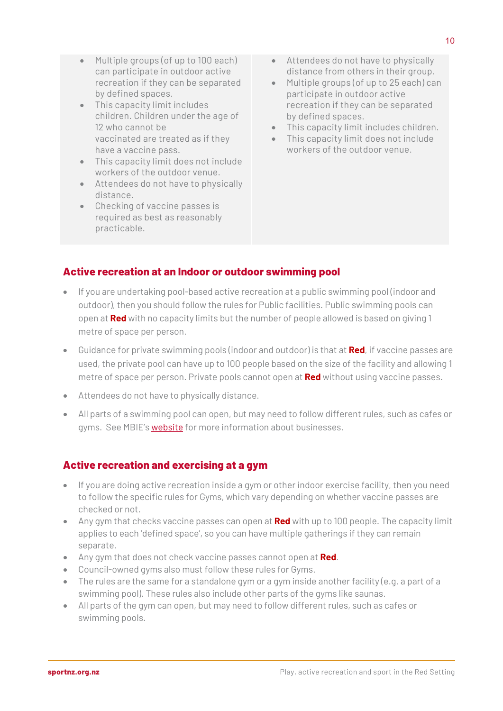- Multiple groups (of up to 100 each) can participate in outdoor active recreation if they can be separated by defined spaces.
- This capacity limit includes children. Children under the age of 12 who cannot be vaccinated are treated as if they have a vaccine pass.
- This capacity limit does not include workers of the outdoor venue.
- Attendees do not have to physically distance.
- Checking of vaccine passes is required as best as reasonably practicable.
- Attendees do not have to physically distance from others in their group.
- Multiple groups (of up to 25 each) can participate in outdoor active recreation if they can be separated by defined spaces.
- This capacity limit includes children.
- This capacity limit does not include workers of the outdoor venue.

#### **Active recreation at an Indoor or outdoor swimming pool**

- If you are undertaking pool-based active recreation at a public swimming pool (indoor and outdoor), then you should follow the rules for Public facilities. Public swimming pools can open at **Red** with no capacity limits but the number of people allowed is based on giving 1 metre of space per person.
- Guidance for private swimming pools (indoor and outdoor) is that at **Red**, if vaccine passes are used, the private pool can have up to 100 people based on the size of the facility and allowing 1 metre of space per person. Private pools cannot open at **Red** without using vaccine passes.
- Attendees do not have to physically distance.
- All parts of a swimming pool can open, but may need to follow different rules, such as cafes or gyms. See MBIE'[s website](https://www.business.govt.nz/covid-19/covid-19-protection-framework/public-facilities/) for more information about businesses.

#### **Active recreation and exercising at a gym**

- If you are doing active recreation inside a gym or other indoor exercise facility, then you need to follow the specific rules for Gyms, which vary depending on whether vaccine passes are checked or not.
- Any gym that checks vaccine passes can open at **Red** with up to 100 people. The capacity limit applies to each 'defined space', so you can have multiple gatherings if they can remain separate.
- Any gym that does not check vaccine passes cannot open at **Red**.
- Council-owned gyms also must follow these rules for Gyms.
- The rules are the same for a standalone gym or a gym inside another facility (e.g. a part of a swimming pool). These rules also include other parts of the gyms like saunas.
- All parts of the gym can open, but may need to follow different rules, such as cafes or swimming pools.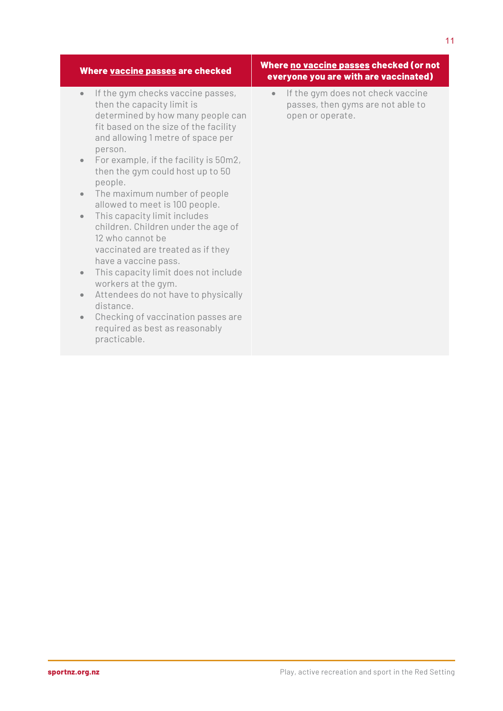| Where vaccine passes are checked                                                                                                                                                                                                                                                                                                                                                                                                                                                                                                                                                                                                                                                                                                                                                                                      | <u>Where no vaccine passes checked (or not</u><br>everyone you are with are vaccinated)                 |
|-----------------------------------------------------------------------------------------------------------------------------------------------------------------------------------------------------------------------------------------------------------------------------------------------------------------------------------------------------------------------------------------------------------------------------------------------------------------------------------------------------------------------------------------------------------------------------------------------------------------------------------------------------------------------------------------------------------------------------------------------------------------------------------------------------------------------|---------------------------------------------------------------------------------------------------------|
| If the gym checks vaccine passes,<br>$\bullet$<br>then the capacity limit is<br>determined by how many people can<br>fit based on the size of the facility<br>and allowing 1 metre of space per<br>person.<br>For example, if the facility is 50m2,<br>$\bullet$<br>then the gym could host up to 50<br>people.<br>The maximum number of people<br>$\bullet$<br>allowed to meet is 100 people.<br>This capacity limit includes<br>$\bullet$<br>children. Children under the age of<br>12 who cannot be<br>vaccinated are treated as if they<br>have a vaccine pass.<br>This capacity limit does not include<br>$\bullet$<br>workers at the gym.<br>Attendees do not have to physically<br>$\bullet$<br>distance.<br>Checking of vaccination passes are<br>$\bullet$<br>required as best as reasonably<br>practicable. | If the gym does not check vaccine<br>$\bullet$<br>passes, then gyms are not able to<br>open or operate. |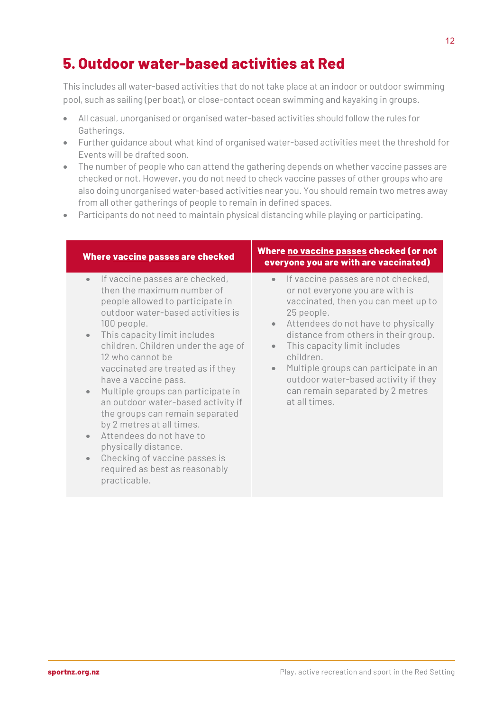## **5. Outdoor water-based activities at Red**

This includes all water-based activities that do not take place at an indoor or outdoor swimming pool, such as sailing (per boat), or close-contact ocean swimming and kayaking in groups.

- All casual, unorganised or organised water-based activities should follow the rules for Gatherings.
- Further guidance about what kind of organised water-based activities meet the threshold for Events will be drafted soon.
- The number of people who can attend the gathering depends on whether vaccine passes are checked or not. However, you do not need to check vaccine passes of other groups who are also doing unorganised water-based activities near you. You should remain two metres away from all other gatherings of people to remain in defined spaces.
- Participants do not need to maintain physical distancing while playing or participating.

| Where vaccine passes are checked                                                                                                                                                                                                                                                                                                                                                                                                                                                                                                                                                                             | Where no vaccine passes checked (or not<br>everyone you are with are vaccinated)                                                                                                                                                                                                                                                                                                                                                                 |
|--------------------------------------------------------------------------------------------------------------------------------------------------------------------------------------------------------------------------------------------------------------------------------------------------------------------------------------------------------------------------------------------------------------------------------------------------------------------------------------------------------------------------------------------------------------------------------------------------------------|--------------------------------------------------------------------------------------------------------------------------------------------------------------------------------------------------------------------------------------------------------------------------------------------------------------------------------------------------------------------------------------------------------------------------------------------------|
| If vaccine passes are checked,<br>$\bullet$<br>then the maximum number of<br>people allowed to participate in<br>outdoor water-based activities is<br>100 people.<br>This capacity limit includes<br>children. Children under the age of<br>12 who cannot be<br>vaccinated are treated as if they<br>have a vaccine pass.<br>Multiple groups can participate in<br>an outdoor water-based activity if<br>the groups can remain separated<br>by 2 metres at all times.<br>Attendees do not have to<br>physically distance.<br>Checking of vaccine passes is<br>required as best as reasonably<br>practicable. | If vaccine passes are not checked,<br>$\bullet$<br>or not everyone you are with is<br>vaccinated, then you can meet up to<br>25 people.<br>Attendees do not have to physically<br>$\bullet$<br>distance from others in their group.<br>This capacity limit includes<br>$\bullet$<br>children.<br>Multiple groups can participate in an<br>$\bullet$<br>outdoor water-based activity if they<br>can remain separated by 2 metres<br>at all times. |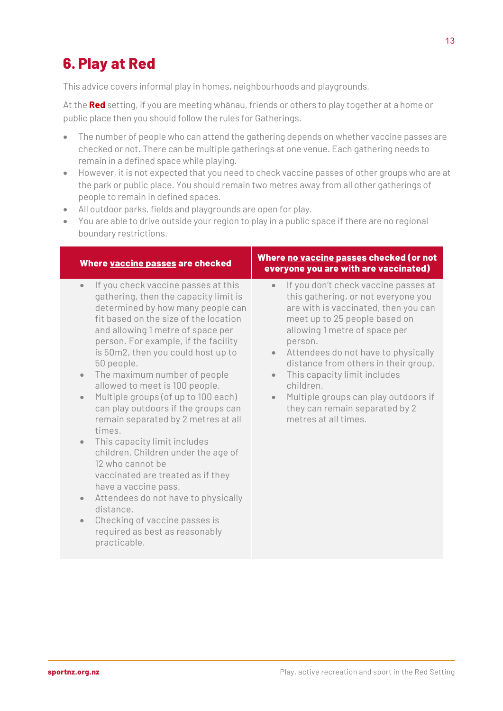## **6. Play at Red**

This advice covers informal play in homes, neighbourhoods and playgrounds.

At the **Red** setting, if you are meeting whānau, friends or others to play together at a home or public place then you should follow the rules for Gatherings.

- The number of people who can attend the gathering depends on whether vaccine passes are checked or not. There can be multiple gatherings at one venue. Each gathering needs to remain in a defined space while playing.
- However, it is not expected that you need to check vaccine passes of other groups who are at the park or public place. You should remain two metres away from all other gatherings of people to remain in defined spaces.
- All outdoor parks, fields and playgrounds are open for play.
- You are able to drive outside your region to play in a public space if there are no regional boundary restrictions.

| Where vaccine passes are checked                                                                                                                                                                                                                                                                                                                                                                                                                                                                                                                                                                                                                                                                                                                                                                                                                                          | Where no vaccine passes checked (or not<br>everyone you are with are vaccinated)                                                                                                                                                                                                                                                                                                                                                                                                   |
|---------------------------------------------------------------------------------------------------------------------------------------------------------------------------------------------------------------------------------------------------------------------------------------------------------------------------------------------------------------------------------------------------------------------------------------------------------------------------------------------------------------------------------------------------------------------------------------------------------------------------------------------------------------------------------------------------------------------------------------------------------------------------------------------------------------------------------------------------------------------------|------------------------------------------------------------------------------------------------------------------------------------------------------------------------------------------------------------------------------------------------------------------------------------------------------------------------------------------------------------------------------------------------------------------------------------------------------------------------------------|
| If you check vaccine passes at this<br>$\bullet$<br>gathering, then the capacity limit is<br>determined by how many people can<br>fit based on the size of the location<br>and allowing 1 metre of space per<br>person. For example, if the facility<br>is 50m2, then you could host up to<br>50 people.<br>The maximum number of people<br>$\bullet$<br>allowed to meet is 100 people.<br>Multiple groups (of up to 100 each)<br>$\bullet$<br>can play outdoors if the groups can<br>remain separated by 2 metres at all<br>times.<br>This capacity limit includes<br>$\bullet$<br>children. Children under the age of<br>12 who cannot be<br>vaccinated are treated as if they<br>have a vaccine pass.<br>Attendees do not have to physically<br>$\bullet$<br>distance.<br>Checking of vaccine passes is<br>$\bullet$<br>required as best as reasonably<br>practicable. | If you don't check vaccine passes at<br>$\bullet$<br>this gathering, or not everyone you<br>are with is vaccinated, then you can<br>meet up to 25 people based on<br>allowing 1 metre of space per<br>person.<br>Attendees do not have to physically<br>$\bullet$<br>distance from others in their group.<br>This capacity limit includes<br>$\bullet$<br>children.<br>Multiple groups can play outdoors if<br>$\bullet$<br>they can remain separated by 2<br>metres at all times. |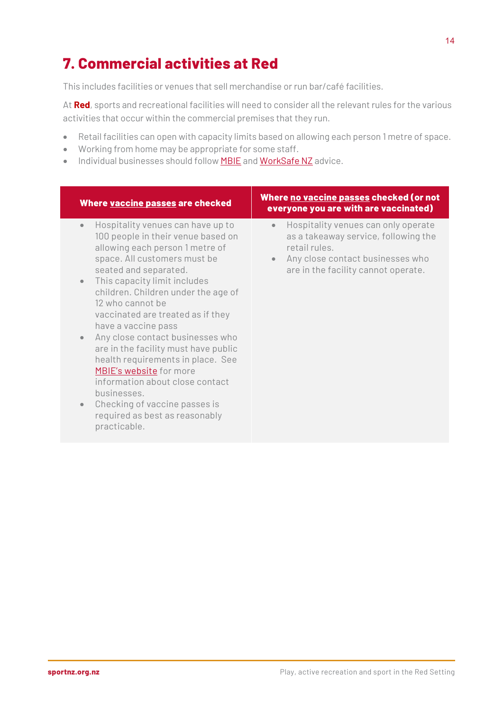## **7. Commercial activities at Red**

This includes facilities or venues that sell merchandise or run bar/café facilities.

At **Red**, sports and recreational facilities will need to consider all the relevant rules for the various activities that occur within the commercial premises that they run.

- Retail facilities can open with capacity limits based on allowing each person 1 metre of space.
- Working from home may be appropriate for some staff.
- Individual businesses should follow **MBIE** and **WorkSafe NZ** advice.

| Where vaccine passes are checked                                                                                                                                                                                                                                                                                                                                                                                                                                                                                                                                                                                                                                | Where no vaccine passes checked (or not<br>everyone you are with are vaccinated)                                                                                                                  |
|-----------------------------------------------------------------------------------------------------------------------------------------------------------------------------------------------------------------------------------------------------------------------------------------------------------------------------------------------------------------------------------------------------------------------------------------------------------------------------------------------------------------------------------------------------------------------------------------------------------------------------------------------------------------|---------------------------------------------------------------------------------------------------------------------------------------------------------------------------------------------------|
| Hospitality venues can have up to<br>$\bullet$<br>100 people in their venue based on<br>allowing each person 1 metre of<br>space. All customers must be<br>seated and separated.<br>This capacity limit includes<br>$\bullet$<br>children. Children under the age of<br>12 who cannot be<br>vaccinated are treated as if they<br>have a vaccine pass<br>Any close contact businesses who<br>$\bullet$<br>are in the facility must have public<br>health requirements in place. See<br>MBIE's website for more<br>information about close contact<br>businesses.<br>Checking of vaccine passes is<br>$\bullet$<br>required as best as reasonably<br>practicable. | Hospitality venues can only operate<br>$\bullet$<br>as a takeaway service, following the<br>retail rules.<br>Any close contact businesses who<br>$\bullet$<br>are in the facility cannot operate. |